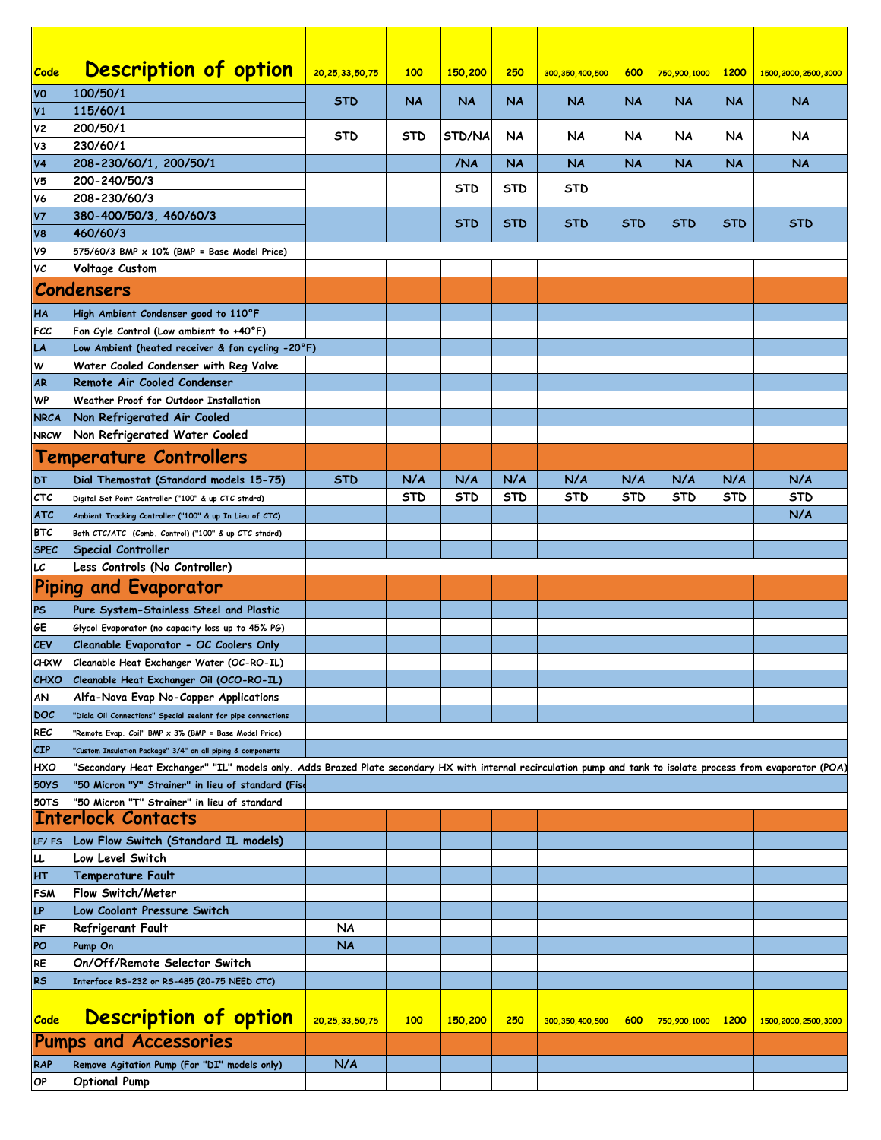| Code                 | <b>Description of option</b>                                                                                                                                   | 20, 25, 33, 50, 75 | 100        | 150,200    | 250        | 300, 350, 400, 500 | 600        | 750,900,1000 | 1200       | 1500, 2000, 2500, 3000 |
|----------------------|----------------------------------------------------------------------------------------------------------------------------------------------------------------|--------------------|------------|------------|------------|--------------------|------------|--------------|------------|------------------------|
| <b>VO</b>            | 100/50/1                                                                                                                                                       | <b>STD</b>         | <b>NA</b>  | <b>NA</b>  | <b>NA</b>  | <b>NA</b>          | <b>NA</b>  | <b>NA</b>    | <b>NA</b>  | <b>NA</b>              |
| V1<br>V <sub>2</sub> | 115/60/1<br>200/50/1                                                                                                                                           |                    |            |            |            |                    |            |              |            |                        |
| V3                   | 230/60/1                                                                                                                                                       | <b>STD</b>         | <b>STD</b> | STD/NA     | <b>NA</b>  | NA                 | NA         | NA           | NA         | NA                     |
| V <sub>4</sub>       | 208-230/60/1, 200/50/1                                                                                                                                         |                    |            | /NA        | <b>NA</b>  | <b>NA</b>          | <b>NA</b>  | <b>NA</b>    | NA         | <b>NA</b>              |
| V <sub>5</sub>       | 200-240/50/3                                                                                                                                                   |                    |            | <b>STD</b> | <b>STD</b> | STD                |            |              |            |                        |
| V <sub>6</sub>       | 208-230/60/3                                                                                                                                                   |                    |            |            |            |                    |            |              |            |                        |
| <b>V7</b>            | 380-400/50/3, 460/60/3                                                                                                                                         |                    |            | STD        | <b>STD</b> | STD                | <b>STD</b> | STD          | <b>STD</b> | STD                    |
| V <sub>8</sub>       | 460/60/3                                                                                                                                                       |                    |            |            |            |                    |            |              |            |                        |
| V9                   | 575/60/3 BMP $\times$ 10% (BMP = Base Model Price)                                                                                                             |                    |            |            |            |                    |            |              |            |                        |
| VC                   | Voltage Custom                                                                                                                                                 |                    |            |            |            |                    |            |              |            |                        |
|                      | <b>Condensers</b>                                                                                                                                              |                    |            |            |            |                    |            |              |            |                        |
| HA                   | High Ambient Condenser good to 110°F                                                                                                                           |                    |            |            |            |                    |            |              |            |                        |
| FCC                  | Fan Cyle Control (Low ambient to $+40^{\circ}$ F)                                                                                                              |                    |            |            |            |                    |            |              |            |                        |
| LA                   | Low Ambient (heated receiver & fan cycling -20°F)                                                                                                              |                    |            |            |            |                    |            |              |            |                        |
| W                    | Water Cooled Condenser with Reg Valve                                                                                                                          |                    |            |            |            |                    |            |              |            |                        |
| <b>AR</b>            | Remote Air Cooled Condenser                                                                                                                                    |                    |            |            |            |                    |            |              |            |                        |
| <b>WP</b>            | Weather Proof for Outdoor Installation                                                                                                                         |                    |            |            |            |                    |            |              |            |                        |
| <b>NRCA</b>          | Non Refrigerated Air Cooled                                                                                                                                    |                    |            |            |            |                    |            |              |            |                        |
| <b>NRCW</b>          | Non Refrigerated Water Cooled                                                                                                                                  |                    |            |            |            |                    |            |              |            |                        |
|                      | <b>Temperature Controllers</b>                                                                                                                                 |                    |            |            |            |                    |            |              |            |                        |
| <b>DT</b>            | Dial Themostat (Standard models 15-75)                                                                                                                         | <b>STD</b>         | N/A        | N/A        | N/A        | N/A                | N/A        | N/A          | N/A        | N/A                    |
| <b>CTC</b>           | Digital Set Point Controller ("100" & up CTC stndrd)                                                                                                           |                    | <b>STD</b> | <b>STD</b> | <b>STD</b> | STD                | STD        | <b>STD</b>   | STD        | <b>STD</b>             |
| <b>ATC</b>           | Ambient Tracking Controller ("100" & up In Lieu of CTC)                                                                                                        |                    |            |            |            |                    |            |              |            | N/A                    |
| <b>BTC</b>           | Both CTC/ATC (Comb. Control) ("100" & up CTC stndrd)                                                                                                           |                    |            |            |            |                    |            |              |            |                        |
| <b>SPEC</b><br>LC    | <b>Special Controller</b><br>Less Controls (No Controller)                                                                                                     |                    |            |            |            |                    |            |              |            |                        |
|                      | Piping and Evaporator                                                                                                                                          |                    |            |            |            |                    |            |              |            |                        |
|                      |                                                                                                                                                                |                    |            |            |            |                    |            |              |            |                        |
| PS                   | Pure System-Stainless Steel and Plastic                                                                                                                        |                    |            |            |            |                    |            |              |            |                        |
| GΕ<br><b>CEV</b>     | Glycol Evaporator (no capacity loss up to 45% PG)<br>Cleanable Evaporator - OC Coolers Only                                                                    |                    |            |            |            |                    |            |              |            |                        |
| <b>CHXW</b>          | Cleanable Heat Exchanger Water (OC-RO-IL)                                                                                                                      |                    |            |            |            |                    |            |              |            |                        |
| <b>CHXO</b>          | Cleanable Heat Exchanger Oil (OCO-RO-IL)                                                                                                                       |                    |            |            |            |                    |            |              |            |                        |
| AN                   | Alfa-Nova Evap No-Copper Applications                                                                                                                          |                    |            |            |            |                    |            |              |            |                        |
| <b>DOC</b>           | "Diala Oil Connections" Special sealant for pipe connections                                                                                                   |                    |            |            |            |                    |            |              |            |                        |
| <b>REC</b>           | "Remote Evap. Coil" BMP x 3% (BMP = Base Model Price)                                                                                                          |                    |            |            |            |                    |            |              |            |                        |
| CIP                  | "Custom Insulation Package" 3/4" on all piping & components                                                                                                    |                    |            |            |            |                    |            |              |            |                        |
| HXO                  | 'Secondary Heat Exchanger" "IL" models only. Adds Brazed Plate secondary HX with internal recirculation pump and tank to isolate process from evaporator (POA) |                    |            |            |            |                    |            |              |            |                        |
| <b>50YS</b>          | "50 Micron "Y" Strainer" in lieu of standard (Fise                                                                                                             |                    |            |            |            |                    |            |              |            |                        |
| <b>50TS</b>          | '50 Micron "T" Strainer" in lieu of standard                                                                                                                   |                    |            |            |            |                    |            |              |            |                        |
|                      | <b>Interlock Contacts</b>                                                                                                                                      |                    |            |            |            |                    |            |              |            |                        |
| LF/FS                | Low Flow Switch (Standard IL models)                                                                                                                           |                    |            |            |            |                    |            |              |            |                        |
| LL                   | Low Level Switch                                                                                                                                               |                    |            |            |            |                    |            |              |            |                        |
| <b>HT</b>            | Temperature Fault                                                                                                                                              |                    |            |            |            |                    |            |              |            |                        |
| <b>FSM</b>           | Flow Switch/Meter                                                                                                                                              |                    |            |            |            |                    |            |              |            |                        |
| LP                   | Low Coolant Pressure Switch                                                                                                                                    |                    |            |            |            |                    |            |              |            |                        |
| <b>RF</b>            | <b>Refrigerant Fault</b>                                                                                                                                       | NA<br><b>NA</b>    |            |            |            |                    |            |              |            |                        |
| PO<br><b>RE</b>      | Pump On<br>On/Off/Remote Selector Switch                                                                                                                       |                    |            |            |            |                    |            |              |            |                        |
| <b>RS</b>            | Interface RS-232 or RS-485 (20-75 NEED CTC)                                                                                                                    |                    |            |            |            |                    |            |              |            |                        |
|                      |                                                                                                                                                                |                    |            |            |            |                    |            |              |            |                        |
| Code                 | <b>Description of option</b>                                                                                                                                   |                    |            |            | 250        |                    |            |              |            |                        |
|                      |                                                                                                                                                                | 20, 25, 33, 50, 75 | 100        | 150,200    |            | 300, 350, 400, 500 | 600        | 750,900,1000 | 1200       | 1500, 2000, 2500, 3000 |
|                      | <b>Pumps and Accessories</b>                                                                                                                                   |                    |            |            |            |                    |            |              |            |                        |
| RAP                  | Remove Agitation Pump (For "DI" models only)                                                                                                                   | N/A                |            |            |            |                    |            |              |            |                        |
| OP                   | <b>Optional Pump</b>                                                                                                                                           |                    |            |            |            |                    |            |              |            |                        |